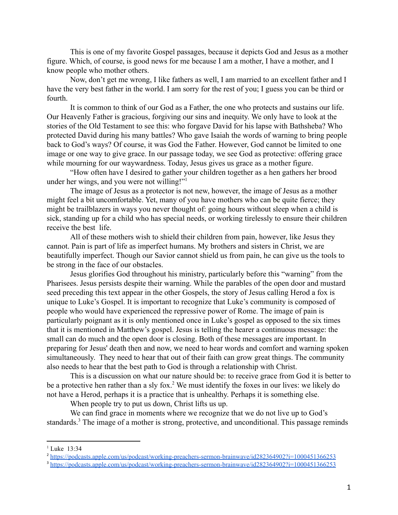This is one of my favorite Gospel passages, because it depicts God and Jesus as a mother figure. Which, of course, is good news for me because I am a mother, I have a mother, and I know people who mother others.

Now, don't get me wrong, I like fathers as well, I am married to an excellent father and I have the very best father in the world. I am sorry for the rest of you; I guess you can be third or fourth.

It is common to think of our God as a Father, the one who protects and sustains our life. Our Heavenly Father is gracious, forgiving our sins and inequity. We only have to look at the stories of the Old Testament to see this: who forgave David for his lapse with Bathsheba? Who protected David during his many battles? Who gave Isaiah the words of warning to bring people back to God's ways? Of course, it was God the Father. However, God cannot be limited to one image or one way to give grace. In our passage today, we see God as protective: offering grace while mourning for our waywardness. Today, Jesus gives us grace as a mother figure.

"How often have I desired to gather your children together as a hen gathers her brood under her wings, and you were not willing!"

The image of Jesus as a protector is not new, however, the image of Jesus as a mother might feel a bit uncomfortable. Yet, many of you have mothers who can be quite fierce; they might be trailblazers in ways you never thought of: going hours without sleep when a child is sick, standing up for a child who has special needs, or working tirelessly to ensure their children receive the best life.

All of these mothers wish to shield their children from pain, however, like Jesus they cannot. Pain is part of life as imperfect humans. My brothers and sisters in Christ, we are beautifully imperfect. Though our Savior cannot shield us from pain, he can give us the tools to be strong in the face of our obstacles.

Jesus glorifies God throughout his ministry, particularly before this "warning" from the Pharisees. Jesus persists despite their warning. While the parables of the open door and mustard seed preceding this text appear in the other Gospels, the story of Jesus calling Herod a fox is unique to Luke's Gospel. It is important to recognize that Luke's community is composed of people who would have experienced the repressive power of Rome. The image of pain is particularly poignant as it is only mentioned once in Luke's gospel as opposed to the six times that it is mentioned in Matthew's gospel. Jesus is telling the hearer a continuous message: the small can do much and the open door is closing. Both of these messages are important. In preparing for Jesus' death then and now, we need to hear words and comfort and warning spoken simultaneously. They need to hear that out of their faith can grow great things. The community also needs to hear that the best path to God is through a relationship with Christ.

This is a discussion on what our nature should be: to receive grace from God it is better to be a protective hen rather than a sly fox.<sup>2</sup> We must identify the foxes in our lives: we likely do not have a Herod, perhaps it is a practice that is unhealthy. Perhaps it is something else.

When people try to put us down, Christ lifts us up.

We can find grace in moments where we recognize that we do not live up to God's standards.<sup>3</sup> The image of a mother is strong, protective, and unconditional. This passage reminds

 $1$  Luke 13:34

<sup>&</sup>lt;sup>2</sup> <https://podcasts.apple.com/us/podcast/working-preachers-sermon-brainwave/id282364902?i=1000451366253>

<sup>&</sup>lt;sup>3</sup> <https://podcasts.apple.com/us/podcast/working-preachers-sermon-brainwave/id282364902?i=1000451366253>